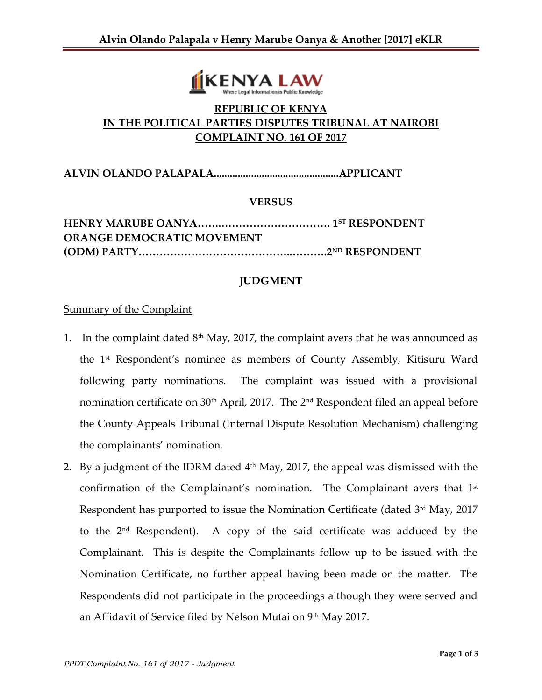

# **REPUBLIC OF KENYA IN THE POLITICAL PARTIES DISPUTES TRIBUNAL AT NAIROBI COMPLAINT NO. 161 OF 2017**

**ALVIN OLANDO PALAPALA...............................................APPLICANT**

### **VERSUS**

| <b>ORANGE DEMOCRATIC MOVEMENT</b> |  |
|-----------------------------------|--|
|                                   |  |

### **JUDGMENT**

#### **Summary of the Complaint**

- 1. In the complaint dated  $8<sup>th</sup>$  May, 2017, the complaint avers that he was announced as the 1st Respondent's nominee as members of County Assembly, Kitisuru Ward following party nominations. The complaint was issued with a provisional nomination certificate on  $30<sup>th</sup>$  April, 2017. The  $2<sup>nd</sup>$  Respondent filed an appeal before the County Appeals Tribunal (Internal Dispute Resolution Mechanism) challenging the complainants' nomination.
- 2. By a judgment of the IDRM dated 4 th May, 2017, the appeal was dismissed with the confirmation of the Complainant's nomination. The Complainant avers that 1st Respondent has purported to issue the Nomination Certificate (dated 3<sup>rd</sup> May, 2017 to the 2nd Respondent). A copy of the said certificate was adduced by the Complainant. This is despite the Complainants follow up to be issued with the Nomination Certificate, no further appeal having been made on the matter. The Respondents did not participate in the proceedings although they were served and an Affidavit of Service filed by Nelson Mutai on 9<sup>th</sup> May 2017.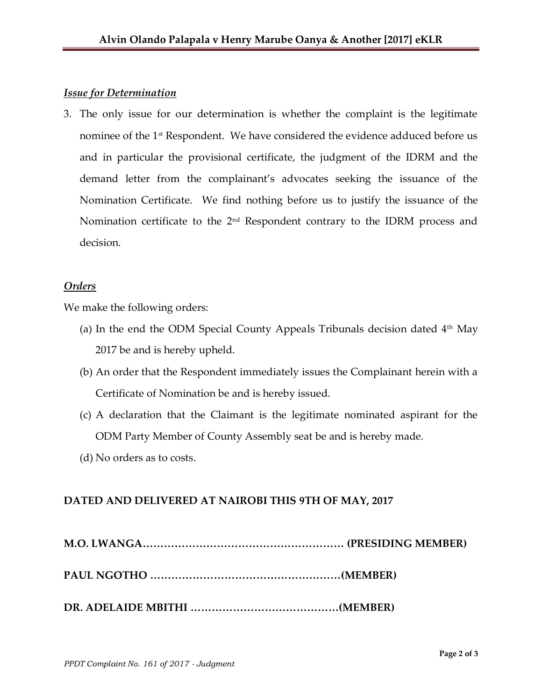# *Issue for Determination*

3. The only issue for our determination is whether the complaint is the legitimate nominee of the 1<sup>st</sup> Respondent. We have considered the evidence adduced before us and in particular the provisional certificate, the judgment of the IDRM and the demand letter from the complainant's advocates seeking the issuance of the Nomination Certificate. We find nothing before us to justify the issuance of the Nomination certificate to the  $2<sup>nd</sup>$  Respondent contrary to the IDRM process and decision.

## *Orders*

We make the following orders:

- (a) In the end the ODM Special County Appeals Tribunals decision dated  $4<sup>th</sup>$  May 2017 be and is hereby upheld.
- (b) An order that the Respondent immediately issues the Complainant herein with a Certificate of Nomination be and is hereby issued.
- (c) A declaration that the Claimant is the legitimate nominated aspirant for the ODM Party Member of County Assembly seat be and is hereby made.
- (d) No orders as to costs.

## **DATED AND DELIVERED AT NAIROBI THIS 9TH OF MAY, 2017**

- **M.O. LWANGA………………………………………………… (PRESIDING MEMBER)**
- **PAUL NGOTHO ………………………………………………(MEMBER)**
- **DR. ADELAIDE MBITHI ……………………………………(MEMBER)**